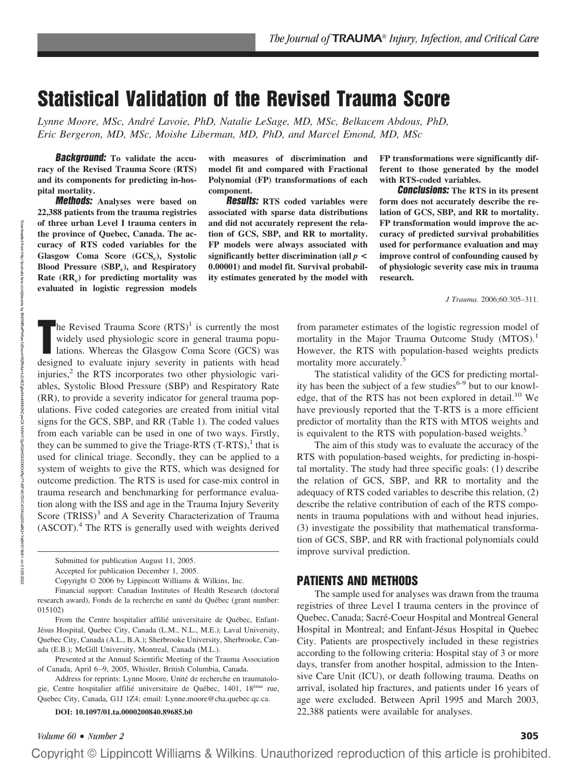# **Statistical Validation of the Revised Trauma Score**

*Lynne Moore, MSc, Andre´ Lavoie, PhD, Natalie LeSage, MD, MSc, Belkacem Abdous, PhD, Eric Bergeron, MD, MSc, Moishe Liberman, MD, PhD, and Marcel Emond, MD, MSc*

**Background: To validate the accuracy of the Revised Trauma Score (RTS) and its components for predicting in-hospital mortality.**

**Methods: Analyses were based on 22,388 patients from the trauma registries of three urban Level I trauma centers in the province of Quebec, Canada. The accuracy of RTS coded variables for the** Glasgow Coma Score (GCS<sub>c</sub>), Systolic **Blood Pressure (SBPc), and Respiratory Rate (RRc)** for predicting mortality was **evaluated in logistic regression models**

Downloaded from

http://journals.lww.com/jtrauma

হ

BhDMf5ePHKav1zEoum1tQfN4a+kJLhEZgbsIHo4XMi0hCywCX1AWnYQp/IlQrHD3i3D0OdRyi7TvSFl4Cf3VC4/OAVpDDa8K2+Ya6H515kE=

on 01/25/2022

**with measures of discrimination and model fit and compared with Fractional Polynomial (FP) transformations of each component.**

**Results: RTS coded variables were associated with sparse data distributions and did not accurately represent the relation of GCS, SBP, and RR to mortality. FP models were always associated with significantly better discrimination (all** *p* **< 0.00001) and model fit. Survival probability estimates generated by the model with** **FP transformations were significantly different to those generated by the model with RTS-coded variables.**

**Conclusions: The RTS in its present form does not accurately describe the relation of GCS, SBP, and RR to mortality. FP transformation would improve the accuracy of predicted survival probabilities used for performance evaluation and may improve control of confounding caused by of physiologic severity case mix in trauma research.**

*J Trauma.* 2006;60:305–311.

**T**  $\blacksquare$ he Revised Trauma Score (RTS)<sup>1</sup> is currently the most widely used physiologic score in general trauma populations. Whereas the Glasgow Coma Score (GCS) was designed to evaluate injury severity in patients with head injuries, $<sup>2</sup>$  the RTS incorporates two other physiologic vari-</sup> ables, Systolic Blood Pressure (SBP) and Respiratory Rate (RR), to provide a severity indicator for general trauma populations. Five coded categories are created from initial vital signs for the GCS, SBP, and RR (Table 1). The coded values from each variable can be used in one of two ways. Firstly, they can be summed to give the Triage-RTS  $(T-RTS)$ ,<sup>1</sup> that is used for clinical triage. Secondly, they can be applied to a system of weights to give the RTS, which was designed for outcome prediction. The RTS is used for case-mix control in trauma research and benchmarking for performance evaluation along with the ISS and age in the Trauma Injury Severity Score (TRISS)<sup>3</sup> and A Severity Characterization of Trauma  $(ASCOT).$ <sup>4</sup> The RTS is generally used with weights derived

**DOI: 10.1097/01.ta.0000200840.89685.b0**

from parameter estimates of the logistic regression model of mortality in the Major Trauma Outcome Study (MTOS).<sup>1</sup> However, the RTS with population-based weights predicts mortality more accurately.<sup>5</sup>

The statistical validity of the GCS for predicting mortality has been the subject of a few studies<sup>6-9</sup> but to our knowledge, that of the RTS has not been explored in detail.<sup>10</sup> We have previously reported that the T-RTS is a more efficient predictor of mortality than the RTS with MTOS weights and is equivalent to the RTS with population-based weights.<sup>5</sup>

The aim of this study was to evaluate the accuracy of the RTS with population-based weights, for predicting in-hospital mortality. The study had three specific goals: (1) describe the relation of GCS, SBP, and RR to mortality and the adequacy of RTS coded variables to describe this relation, (2) describe the relative contribution of each of the RTS components in trauma populations with and without head injuries, (3) investigate the possibility that mathematical transformation of GCS, SBP, and RR with fractional polynomials could improve survival prediction.

# **PATIENTS AND METHODS**

The sample used for analyses was drawn from the trauma registries of three Level I trauma centers in the province of Quebec, Canada; Sacré-Coeur Hospital and Montreal General Hospital in Montreal; and Enfant-Jésus Hospital in Quebec City. Patients are prospectively included in these registries according to the following criteria: Hospital stay of 3 or more days, transfer from another hospital, admission to the Intensive Care Unit (ICU), or death following trauma. Deaths on arrival, isolated hip fractures, and patients under 16 years of age were excluded. Between April 1995 and March 2003, 22,388 patients were available for analyses.

Submitted for publication August 11, 2005.

Accepted for publication December 1, 2005.

Copyright © 2006 by Lippincott Williams & Wilkins, Inc.

Financial support: Canadian Institutes of Health Research (doctoral research award), Fonds de la recherche en santé du Québec (grant number: 015102)

From the Centre hospitalier affilié universitaire de Québec, Enfant-Jésus Hospital, Quebec City, Canada (L.M., N.L., M.E.); Laval University, Quebec City, Canada (A.L., B.A.); Sherbrooke University, Sherbrooke, Canada (E.B.); McGill University, Montreal, Canada (M.L.).

Presented at the Annual Scientific Meeting of the Trauma Association of Canada, April 6 –9, 2005, Whistler, British Columbia, Canada.

Address for reprints: Lynne Moore, Unité de recherche en traumatologie, Centre hospitalier affilié universitaire de Québec, 1401, 18<sup>ème</sup> rue, Quebec City, Canada, G1J 1Z4; email: Lynne.moore@cha.quebec.qc.ca.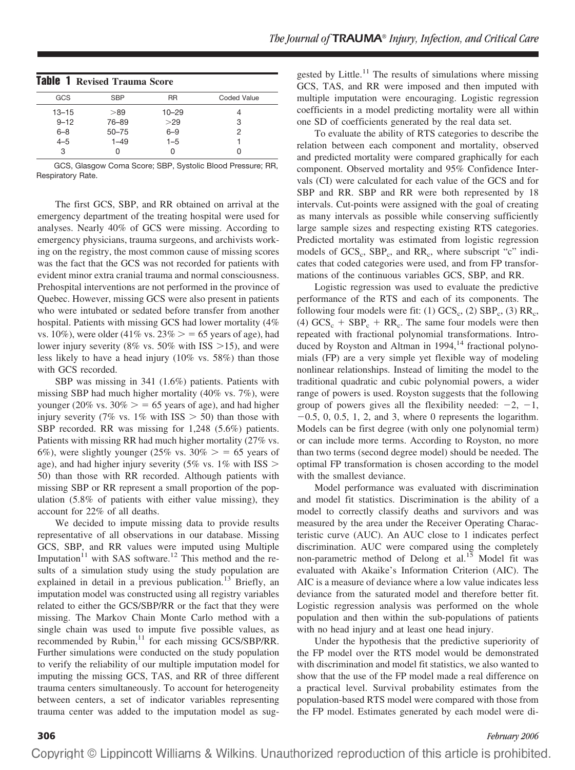| <b>Table 1 Revised Trauma Score</b> |            |           |             |  |  |  |
|-------------------------------------|------------|-----------|-------------|--|--|--|
| GCS                                 | <b>SBP</b> | <b>RR</b> | Coded Value |  |  |  |
| $13 - 15$                           | >89        | $10 - 29$ |             |  |  |  |
| $9 - 12$                            | 76-89      | >29       | 3           |  |  |  |
| $6 - 8$                             | $50 - 75$  | $6 - 9$   | 2           |  |  |  |
| $4 - 5$                             | $1 - 49$   | $1 - 5$   |             |  |  |  |
| 3                                   |            |           |             |  |  |  |

GCS, Glasgow Coma Score; SBP, Systolic Blood Pressure; RR, Respiratory Rate.

The first GCS, SBP, and RR obtained on arrival at the emergency department of the treating hospital were used for analyses. Nearly 40% of GCS were missing. According to emergency physicians, trauma surgeons, and archivists working on the registry, the most common cause of missing scores was the fact that the GCS was not recorded for patients with evident minor extra cranial trauma and normal consciousness. Prehospital interventions are not performed in the province of Quebec. However, missing GCS were also present in patients who were intubated or sedated before transfer from another hospital. Patients with missing GCS had lower mortality (4% vs. 10%), were older (41% vs.  $23\% > 65$  years of age), had lower injury severity (8% vs. 50% with ISS  $>$ 15), and were less likely to have a head injury (10% vs. 58%) than those with GCS recorded.

SBP was missing in 341 (1.6%) patients. Patients with missing SBP had much higher mortality (40% vs. 7%), were younger (20% vs.  $30\% > 65$  years of age), and had higher injury severity (7% vs. 1% with ISS  $>$  50) than those with SBP recorded. RR was missing for 1,248 (5.6%) patients. Patients with missing RR had much higher mortality (27% vs. 6%), were slightly younger (25% vs.  $30\% > 65$  years of age), and had higher injury severity (5% vs.  $1\%$  with ISS  $>$ 50) than those with RR recorded. Although patients with missing SBP or RR represent a small proportion of the population (5.8% of patients with either value missing), they account for 22% of all deaths.

We decided to impute missing data to provide results representative of all observations in our database. Missing GCS, SBP, and RR values were imputed using Multiple Imputation<sup>11</sup> with SAS software.<sup>12</sup> This method and the results of a simulation study using the study population are explained in detail in a previous publication.<sup>13</sup> Briefly, an imputation model was constructed using all registry variables related to either the GCS/SBP/RR or the fact that they were missing. The Markov Chain Monte Carlo method with a single chain was used to impute five possible values, as recommended by Rubin,<sup>11</sup> for each missing GCS/SBP/RR. Further simulations were conducted on the study population to verify the reliability of our multiple imputation model for imputing the missing GCS, TAS, and RR of three different trauma centers simultaneously. To account for heterogeneity between centers, a set of indicator variables representing trauma center was added to the imputation model as sug-

gested by Little.<sup>11</sup> The results of simulations where missing GCS, TAS, and RR were imposed and then imputed with multiple imputation were encouraging. Logistic regression coefficients in a model predicting mortality were all within one SD of coefficients generated by the real data set.

To evaluate the ability of RTS categories to describe the relation between each component and mortality, observed and predicted mortality were compared graphically for each component. Observed mortality and 95% Confidence Intervals (CI) were calculated for each value of the GCS and for SBP and RR. SBP and RR were both represented by 18 intervals. Cut-points were assigned with the goal of creating as many intervals as possible while conserving sufficiently large sample sizes and respecting existing RTS categories. Predicted mortality was estimated from logistic regression models of  $GCS_c$ ,  $SBP_c$ , and  $RR_c$ , where subscript "c" indicates that coded categories were used, and from FP transformations of the continuous variables GCS, SBP, and RR.

Logistic regression was used to evaluate the predictive performance of the RTS and each of its components. The following four models were fit: (1)  $GCS_c$ , (2)  $SBP_c$ , (3)  $RR_c$ , (4)  $GCS_c + SBP_c + RR_c$ . The same four models were then repeated with fractional polynomial transformations. Introduced by Royston and Altman in  $1994$ ,<sup>14</sup> fractional polynomials (FP) are a very simple yet flexible way of modeling nonlinear relationships. Instead of limiting the model to the traditional quadratic and cubic polynomial powers, a wider range of powers is used. Royston suggests that the following group of powers gives all the flexibility needed:  $-2$ ,  $-1$ ,  $-0.5$ , 0, 0.5, 1, 2, and 3, where 0 represents the logarithm. Models can be first degree (with only one polynomial term) or can include more terms. According to Royston, no more than two terms (second degree model) should be needed. The optimal FP transformation is chosen according to the model with the smallest deviance.

Model performance was evaluated with discrimination and model fit statistics. Discrimination is the ability of a model to correctly classify deaths and survivors and was measured by the area under the Receiver Operating Characteristic curve (AUC). An AUC close to 1 indicates perfect discrimination. AUC were compared using the completely non-parametric method of Delong et al.<sup>15</sup> Model fit was evaluated with Akaike's Information Criterion (AIC). The AIC is a measure of deviance where a low value indicates less deviance from the saturated model and therefore better fit. Logistic regression analysis was performed on the whole population and then within the sub-populations of patients with no head injury and at least one head injury.

Under the hypothesis that the predictive superiority of the FP model over the RTS model would be demonstrated with discrimination and model fit statistics, we also wanted to show that the use of the FP model made a real difference on a practical level. Survival probability estimates from the population-based RTS model were compared with those from the FP model. Estimates generated by each model were di-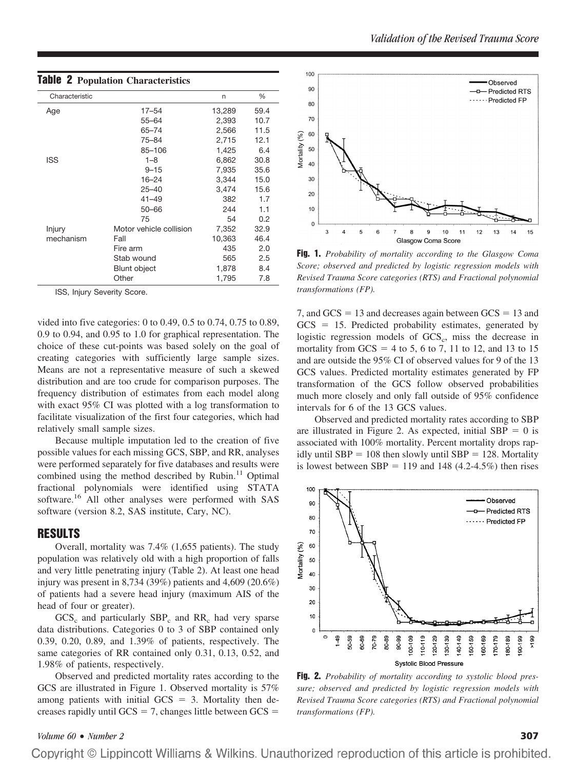| Characteristic |                         | n      | %    |
|----------------|-------------------------|--------|------|
| Age            | $17 - 54$               | 13,289 | 59.4 |
|                | $55 - 64$               | 2,393  | 10.7 |
|                | $65 - 74$               | 2,566  | 11.5 |
|                | 75-84                   | 2,715  | 12.1 |
|                | 85-106                  | 1,425  | 6.4  |
| ISS            | $1 - 8$                 | 6,862  | 30.8 |
|                | $9 - 15$                | 7,935  | 35.6 |
|                | $16 - 24$               | 3,344  | 15.0 |
|                | $25 - 40$               | 3,474  | 15.6 |
|                | $41 - 49$               | 382    | 1.7  |
|                | $50 - 66$               | 244    | 1.1  |
|                | 75                      | 54     | 0.2  |
| Injury         | Motor vehicle collision | 7,352  | 32.9 |
| mechanism      | Fall                    | 10,363 | 46.4 |
|                | Fire arm                | 435    | 2.0  |
|                | Stab wound              | 565    | 2.5  |
|                | <b>Blunt object</b>     | 1,878  | 8.4  |
|                | Other                   | 1,795  | 7.8  |

# **Table 2 Population Characteristics**

ISS, Injury Severity Score.

vided into five categories: 0 to 0.49, 0.5 to 0.74, 0.75 to 0.89, 0.9 to 0.94, and 0.95 to 1.0 for graphical representation. The choice of these cut-points was based solely on the goal of creating categories with sufficiently large sample sizes. Means are not a representative measure of such a skewed distribution and are too crude for comparison purposes. The frequency distribution of estimates from each model along with exact 95% CI was plotted with a log transformation to facilitate visualization of the first four categories, which had relatively small sample sizes.

Because multiple imputation led to the creation of five possible values for each missing GCS, SBP, and RR, analyses were performed separately for five databases and results were combined using the method described by Rubin. $11$  Optimal fractional polynomials were identified using STATA software.<sup>16</sup> All other analyses were performed with SAS software (version 8.2, SAS institute, Cary, NC).

# **RESULTS**

Overall, mortality was 7.4% (1,655 patients). The study population was relatively old with a high proportion of falls and very little penetrating injury (Table 2). At least one head injury was present in 8,734 (39%) patients and 4,609 (20.6%) of patients had a severe head injury (maximum AIS of the head of four or greater).

 $GCS<sub>c</sub>$  and particularly  $SBP<sub>c</sub>$  and RR<sub>c</sub> had very sparse data distributions. Categories 0 to 3 of SBP contained only 0.39, 0.20, 0.89, and 1.39% of patients, respectively. The same categories of RR contained only 0.31, 0.13, 0.52, and 1.98% of patients, respectively.

Observed and predicted mortality rates according to the GCS are illustrated in Figure 1. Observed mortality is 57% among patients with initial  $GCS = 3$ . Mortality then decreases rapidly until  $GCS = 7$ , changes little between  $GCS =$ 



**Fig. 1.** *Probability of mortality according to the Glasgow Coma Score; observed and predicted by logistic regression models with Revised Trauma Score categories (RTS) and Fractional polynomial transformations (FP).*

7, and  $GCS = 13$  and decreases again between  $GCS = 13$  and  $GCS = 15$ . Predicted probability estimates, generated by logistic regression models of  $GCS<sub>c</sub>$ , miss the decrease in mortality from  $GCS = 4$  to 5, 6 to 7, 11 to 12, and 13 to 15 and are outside the 95% CI of observed values for 9 of the 13 GCS values. Predicted mortality estimates generated by FP transformation of the GCS follow observed probabilities much more closely and only fall outside of 95% confidence intervals for 6 of the 13 GCS values.

Observed and predicted mortality rates according to SBP are illustrated in Figure 2. As expected, initial  $SBP = 0$  is associated with 100% mortality. Percent mortality drops rapidly until  $SBP = 108$  then slowly until  $SBP = 128$ . Mortality is lowest between  $SBP = 119$  and 148 (4.2-4.5%) then rises



**Fig. 2.** *Probability of mortality according to systolic blood pressure; observed and predicted by logistic regression models with Revised Trauma Score categories (RTS) and Fractional polynomial transformations (FP).*

# *Volume 60* • *Number 2* **307**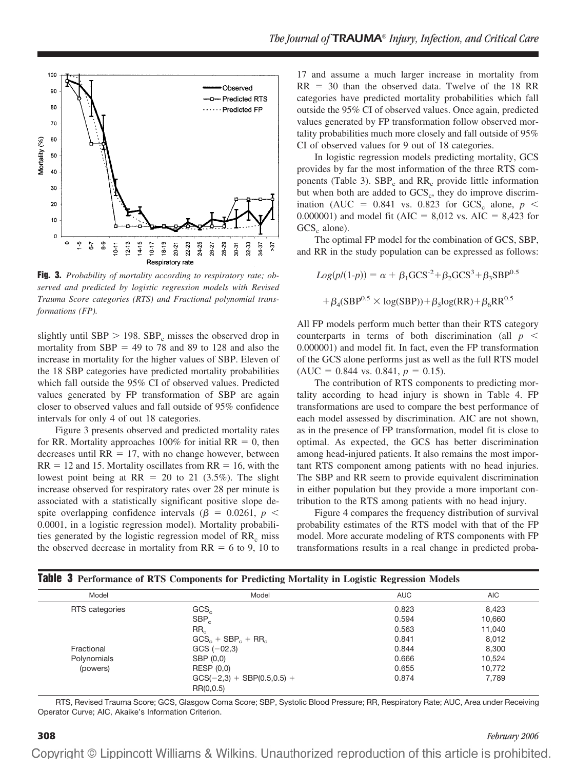

**Fig. 3.** *Probability of mortality according to respiratory rate; observed and predicted by logistic regression models with Revised Trauma Score categories (RTS) and Fractional polynomial transformations (FP).*

slightly until SBP  $> 198$ . SBP<sub>c</sub> misses the observed drop in mortality from  $SBP = 49$  to 78 and 89 to 128 and also the increase in mortality for the higher values of SBP. Eleven of the 18 SBP categories have predicted mortality probabilities which fall outside the 95% CI of observed values. Predicted values generated by FP transformation of SBP are again closer to observed values and fall outside of 95% confidence intervals for only 4 of out 18 categories.

Figure 3 presents observed and predicted mortality rates for RR. Mortality approaches  $100\%$  for initial RR = 0, then decreases until  $RR = 17$ , with no change however, between  $RR = 12$  and 15. Mortality oscillates from  $RR = 16$ , with the lowest point being at  $RR = 20$  to 21 (3.5%). The slight increase observed for respiratory rates over 28 per minute is associated with a statistically significant positive slope despite overlapping confidence intervals ( $\beta$  = 0.0261,  $p$  < 0.0001, in a logistic regression model). Mortality probabilities generated by the logistic regression model of RR<sub>c</sub> miss the observed decrease in mortality from  $RR = 6$  to 9, 10 to

17 and assume a much larger increase in mortality from  $RR = 30$  than the observed data. Twelve of the 18 RR categories have predicted mortality probabilities which fall outside the 95% CI of observed values. Once again, predicted values generated by FP transformation follow observed mortality probabilities much more closely and fall outside of 95% CI of observed values for 9 out of 18 categories.

In logistic regression models predicting mortality, GCS provides by far the most information of the three RTS components (Table 3).  $SBP_c$  and  $RR_c$  provide little information but when both are added to  $GCS<sub>c</sub>$ , they do improve discrimination (AUC =  $0.841$  vs. 0.823 for GCS<sub>c</sub> alone,  $p \le$ 0.000001) and model fit ( $AIC = 8,012$  vs.  $AIC = 8,423$  for  $GCS<sub>c</sub>$  alone).

The optimal FP model for the combination of GCS, SBP, and RR in the study population can be expressed as follows:

$$
Log(p/(1-p)) = \alpha + \beta_1 GCS^{-2} + \beta_2 GCS^3 + \beta_3 SBP^{0.5}
$$

$$
+ \beta_4 (SBP^{0.5} \times \log(SBP)) + \beta_5 \log(RR) + \beta_6 RR^{0.5}
$$

All FP models perform much better than their RTS category counterparts in terms of both discrimination (all  $p \leq$ 0.000001) and model fit. In fact, even the FP transformation of the GCS alone performs just as well as the full RTS model  $(AUC = 0.844$  vs. 0.841,  $p = 0.15$ ).

The contribution of RTS components to predicting mortality according to head injury is shown in Table 4. FP transformations are used to compare the best performance of each model assessed by discrimination. AIC are not shown, as in the presence of FP transformation, model fit is close to optimal. As expected, the GCS has better discrimination among head-injured patients. It also remains the most important RTS component among patients with no head injuries. The SBP and RR seem to provide equivalent discrimination in either population but they provide a more important contribution to the RTS among patients with no head injury.

Figure 4 compares the frequency distribution of survival probability estimates of the RTS model with that of the FP model. More accurate modeling of RTS components with FP transformations results in a real change in predicted proba-

| Model          | Model                        | <b>AUC</b> | AIC    |
|----------------|------------------------------|------------|--------|
| RTS categories | GCS <sub>c</sub>             | 0.823      | 8.423  |
|                | $SBP_c$                      | 0.594      | 10,660 |
|                | RR <sub>c</sub>              | 0.563      | 11.040 |
|                | $GCSc + SBPc + RRc$          | 0.841      | 8.012  |
| Fractional     | $GCS$ $(-02.3)$              | 0.844      | 8.300  |
| Polynomials    | SBP (0,0)                    | 0.666      | 10.524 |
| (powers)       | RESP (0,0)                   | 0.655      | 10.772 |
|                | $GCS(-2,3) + SBP(0.5,0.5) +$ | 0.874      | 7.789  |
|                | RR(0,0.5)                    |            |        |

RTS, Revised Trauma Score; GCS, Glasgow Coma Score; SBP, Systolic Blood Pressure; RR, Respiratory Rate; AUC, Area under Receiving Operator Curve; AIC, Akaike's Information Criterion.

### **308** *February 2006*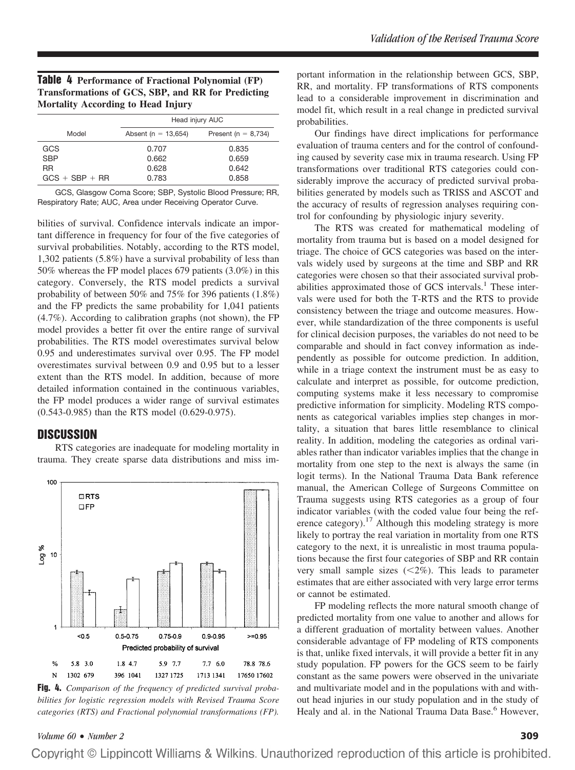# **Table 4 Performance of Fractional Polynomial (FP) Transformations of GCS, SBP, and RR for Predicting Mortality According to Head Injury**

|                  | Head injury AUC         |                         |  |
|------------------|-------------------------|-------------------------|--|
| Model            | Absent ( $n = 13,654$ ) | Present ( $n = 8,734$ ) |  |
| GCS              | 0.707                   | 0.835                   |  |
| <b>SBP</b>       | 0.662                   | 0.659                   |  |
| <b>RR</b>        | 0.628                   | 0.642                   |  |
| $GCS + SBP + RR$ | 0.783                   | 0.858                   |  |

GCS, Glasgow Coma Score; SBP, Systolic Blood Pressure; RR, Respiratory Rate; AUC, Area under Receiving Operator Curve.

bilities of survival. Confidence intervals indicate an important difference in frequency for four of the five categories of survival probabilities. Notably, according to the RTS model, 1,302 patients (5.8%) have a survival probability of less than 50% whereas the FP model places 679 patients (3.0%) in this category. Conversely, the RTS model predicts a survival probability of between 50% and 75% for 396 patients (1.8%) and the FP predicts the same probability for 1,041 patients (4.7%). According to calibration graphs (not shown), the FP model provides a better fit over the entire range of survival probabilities. The RTS model overestimates survival below 0.95 and underestimates survival over 0.95. The FP model overestimates survival between 0.9 and 0.95 but to a lesser extent than the RTS model. In addition, because of more detailed information contained in the continuous variables, the FP model produces a wider range of survival estimates (0.543-0.985) than the RTS model (0.629-0.975).

# **DISCUSSION**

RTS categories are inadequate for modeling mortality in trauma. They create sparse data distributions and miss im-



**Fig. 4.** *Comparison of the frequency of predicted survival probabilities for logistic regression models with Revised Trauma Score categories (RTS) and Fractional polynomial transformations (FP).*

portant information in the relationship between GCS, SBP, RR, and mortality. FP transformations of RTS components lead to a considerable improvement in discrimination and model fit, which result in a real change in predicted survival probabilities.

Our findings have direct implications for performance evaluation of trauma centers and for the control of confounding caused by severity case mix in trauma research. Using FP transformations over traditional RTS categories could considerably improve the accuracy of predicted survival probabilities generated by models such as TRISS and ASCOT and the accuracy of results of regression analyses requiring control for confounding by physiologic injury severity.

The RTS was created for mathematical modeling of mortality from trauma but is based on a model designed for triage. The choice of GCS categories was based on the intervals widely used by surgeons at the time and SBP and RR categories were chosen so that their associated survival probabilities approximated those of GCS intervals.<sup>1</sup> These intervals were used for both the T-RTS and the RTS to provide consistency between the triage and outcome measures. However, while standardization of the three components is useful for clinical decision purposes, the variables do not need to be comparable and should in fact convey information as independently as possible for outcome prediction. In addition, while in a triage context the instrument must be as easy to calculate and interpret as possible, for outcome prediction, computing systems make it less necessary to compromise predictive information for simplicity. Modeling RTS components as categorical variables implies step changes in mortality, a situation that bares little resemblance to clinical reality. In addition, modeling the categories as ordinal variables rather than indicator variables implies that the change in mortality from one step to the next is always the same (in logit terms). In the National Trauma Data Bank reference manual, the American College of Surgeons Committee on Trauma suggests using RTS categories as a group of four indicator variables (with the coded value four being the reference category).<sup>17</sup> Although this modeling strategy is more likely to portray the real variation in mortality from one RTS category to the next, it is unrealistic in most trauma populations because the first four categories of SBP and RR contain very small sample sizes  $(<2\%)$ . This leads to parameter estimates that are either associated with very large error terms or cannot be estimated.

FP modeling reflects the more natural smooth change of predicted mortality from one value to another and allows for a different graduation of mortality between values. Another considerable advantage of FP modeling of RTS components is that, unlike fixed intervals, it will provide a better fit in any study population. FP powers for the GCS seem to be fairly constant as the same powers were observed in the univariate and multivariate model and in the populations with and without head injuries in our study population and in the study of Healy and al. in the National Trauma Data Base.<sup>6</sup> However,

# *Volume 60* • *Number 2* **309**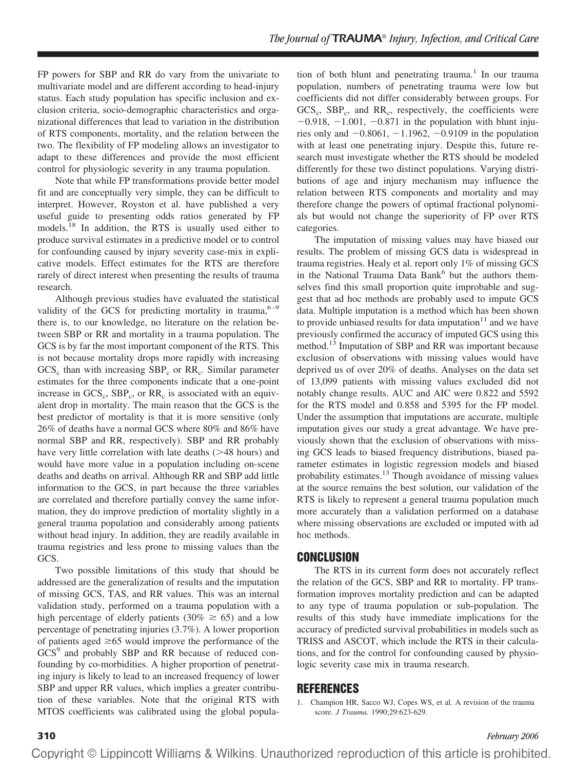FP powers for SBP and RR do vary from the univariate to multivariate model and are different according to head-injury status. Each study population has specific inclusion and exclusion criteria, socio-demographic characteristics and organizational differences that lead to variation in the distribution of RTS components, mortality, and the relation between the two. The flexibility of FP modeling allows an investigator to adapt to these differences and provide the most efficient control for physiologic severity in any trauma population.

Note that while FP transformations provide better model fit and are conceptually very simple, they can be difficult to interpret. However, Royston et al. have published a very useful guide to presenting odds ratios generated by FP models.<sup>18</sup> In addition, the RTS is usually used either to produce survival estimates in a predictive model or to control for confounding caused by injury severity case-mix in explicative models. Effect estimates for the RTS are therefore rarely of direct interest when presenting the results of trauma research.

Although previous studies have evaluated the statistical validity of the GCS for predicting mortality in trauma,  $6-9$ there is, to our knowledge, no literature on the relation between SBP or RR and mortality in a trauma population. The GCS is by far the most important component of the RTS. This is not because mortality drops more rapidly with increasing  $GCS<sub>c</sub>$  than with increasing  $SBP<sub>c</sub>$  or  $RR<sub>c</sub>$ . Similar parameter estimates for the three components indicate that a one-point increase in  $GCS_c$ ,  $SBP_c$ , or  $RR_c$  is associated with an equivalent drop in mortality. The main reason that the GCS is the best predictor of mortality is that it is more sensitive (only 26% of deaths have a normal GCS where 80% and 86% have normal SBP and RR, respectively). SBP and RR probably have very little correlation with late deaths (>48 hours) and would have more value in a population including on-scene deaths and deaths on arrival. Although RR and SBP add little information to the GCS, in part because the three variables are correlated and therefore partially convey the same information, they do improve prediction of mortality slightly in a general trauma population and considerably among patients without head injury. In addition, they are readily available in trauma registries and less prone to missing values than the GCS.

Two possible limitations of this study that should be addressed are the generalization of results and the imputation of missing GCS, TAS, and RR values. This was an internal validation study, performed on a trauma population with a high percentage of elderly patients (30%  $\geq$  65) and a low percentage of penetrating injuries (3.7%). A lower proportion of patients aged  $\geq 65$  would improve the performance of the GCS<sup>9</sup> and probably SBP and RR because of reduced confounding by co-morbidities. A higher proportion of penetrating injury is likely to lead to an increased frequency of lower SBP and upper RR values, which implies a greater contribution of these variables. Note that the original RTS with MTOS coefficients was calibrated using the global popula-

tion of both blunt and penetrating trauma.<sup>1</sup> In our trauma population, numbers of penetrating trauma were low but coefficients did not differ considerably between groups. For  $GCS_{\alpha}$ ,  $SBP_{\alpha}$ , and  $RR_{\alpha}$ , respectively, the coefficients were  $-0.918$ ,  $-1.001$ ,  $-0.871$  in the population with blunt injuries only and  $-0.8061$ ,  $-1.1962$ ,  $-0.9109$  in the population with at least one penetrating injury. Despite this, future research must investigate whether the RTS should be modeled differently for these two distinct populations. Varying distributions of age and injury mechanism may influence the relation between RTS components and mortality and may therefore change the powers of optimal fractional polynomials but would not change the superiority of FP over RTS categories.

The imputation of missing values may have biased our results. The problem of missing GCS data is widespread in trauma registries. Healy et al. report only 1% of missing GCS in the National Trauma Data Bank<sup>6</sup> but the authors themselves find this small proportion quite improbable and suggest that ad hoc methods are probably used to impute GCS data. Multiple imputation is a method which has been shown to provide unbiased results for data imputation $11$  and we have previously confirmed the accuracy of imputed GCS using this method.<sup>13</sup> Imputation of SBP and RR was important because exclusion of observations with missing values would have deprived us of over 20% of deaths. Analyses on the data set of 13,099 patients with missing values excluded did not notably change results. AUC and AIC were 0.822 and 5592 for the RTS model and 0.858 and 5395 for the FP model. Under the assumption that imputations are accurate, multiple imputation gives our study a great advantage. We have previously shown that the exclusion of observations with missing GCS leads to biased frequency distributions, biased parameter estimates in logistic regression models and biased probability estimates.13 Though avoidance of missing values at the source remains the best solution, our validation of the RTS is likely to represent a general trauma population much more accurately than a validation performed on a database where missing observations are excluded or imputed with ad hoc methods.

# **CONCLUSION**

The RTS in its current form does not accurately reflect the relation of the GCS, SBP and RR to mortality. FP transformation improves mortality prediction and can be adapted to any type of trauma population or sub-population. The results of this study have immediate implications for the accuracy of predicted survival probabilities in models such as TRISS and ASCOT, which include the RTS in their calculations, and for the control for confounding caused by physiologic severity case mix in trauma research.

# **REFERENCES**

1. Champion HR, Sacco WJ, Copes WS, et al. A revision of the trauma score. *J Trauma.* 1990;29:623-629.